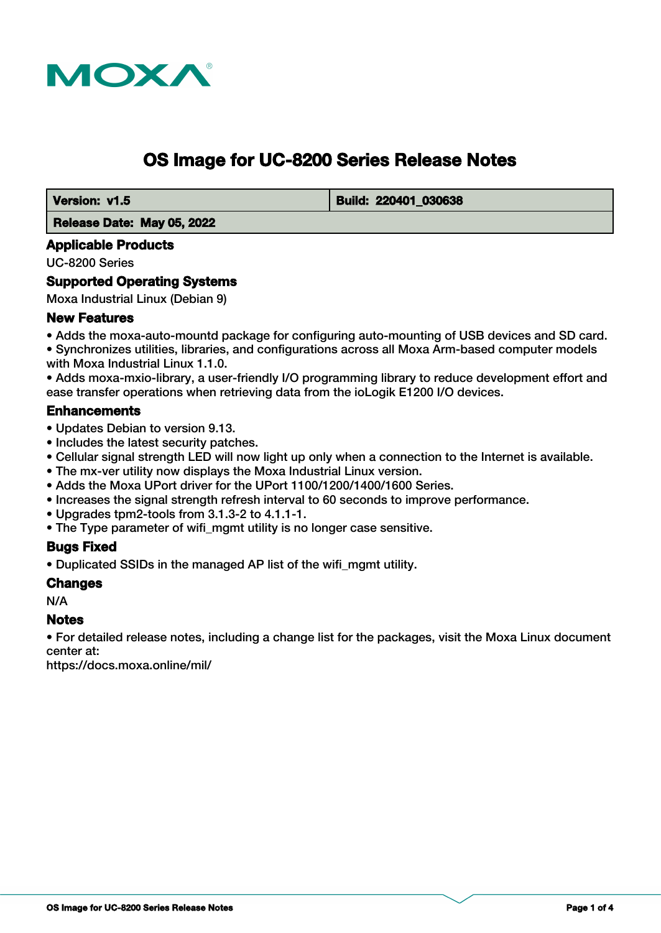

# **OS Image for UC-8200 Series Release Notes**

 **Version: v1.5 Build: 220401 030638** 

#### **Release Date: May 05, 2022**

#### **Applicable Products**

UC-8200 Series

## **Supported Operating Systems**

Moxa Industrial Linux (Debian 9)

#### **New Features**

• Adds the moxa-auto-mountd package for configuring auto-mounting of USB devices and SD card. • Synchronizes utilities, libraries, and configurations across all Moxa Arm-based computer models with Moxa Industrial Linux 1.1.0.

• Adds moxa-mxio-library, a user-friendly I/O programming library to reduce development effort and ease transfer operations when retrieving data from the ioLogik E1200 I/O devices.

#### **Enhancements**

- Updates Debian to version 9.13.
- Includes the latest security patches.
- Cellular signal strength LED will now light up only when a connection to the Internet is available.
- The mx-ver utility now displays the Moxa Industrial Linux version.
- Adds the Moxa UPort driver for the UPort 1100/1200/1400/1600 Series.
- Increases the signal strength refresh interval to 60 seconds to improve performance.
- Upgrades tpm2-tools from 3.1.3-2 to 4.1.1-1.
- The Type parameter of wifi mgmt utility is no longer case sensitive.

#### **Bugs Fixed**

• Duplicated SSIDs in the managed AP list of the wifi\_mgmt utility.

#### **Changes**

N/A

#### **Notes**

• For detailed release notes, including a change list for the packages, visit the Moxa Linux document center at:

https://docs.moxa.online/mil/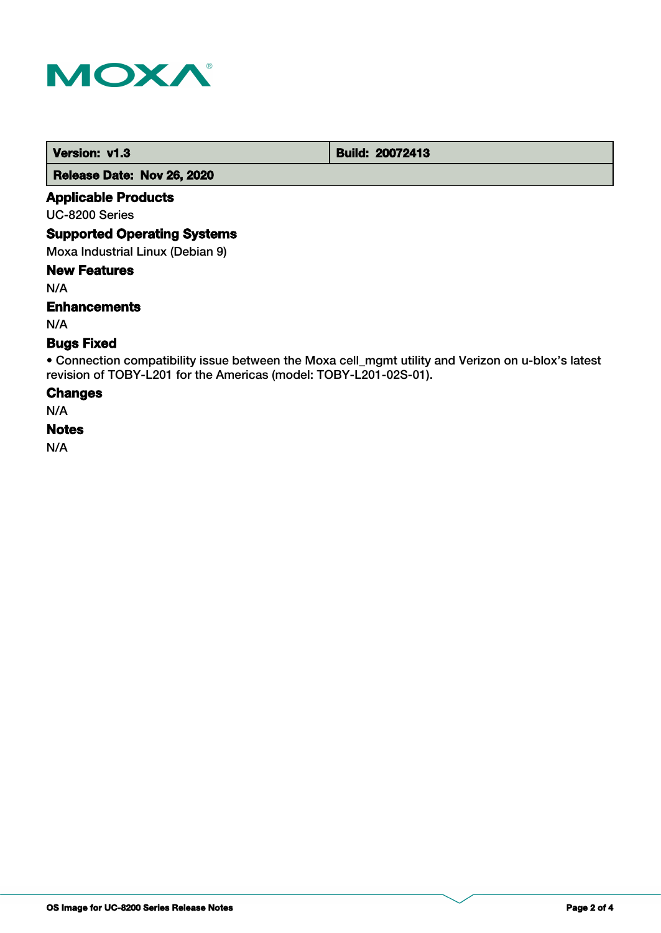

 **Version: v1.3 Build: 20072413** 

 **Release Date: Nov 26, 2020**

## **Applicable Products**

UC-8200 Series

#### **Supported Operating Systems**

Moxa Industrial Linux (Debian 9)

#### **New Features**

N/A

## **Enhancements**

N/A

## **Bugs Fixed**

• Connection compatibility issue between the Moxa cell\_mgmt utility and Verizon on u-blox's latest revision of TOBY-L201 for the Americas (model: TOBY-L201-02S-01).

#### **Changes**

N/A

#### **Notes**

N/A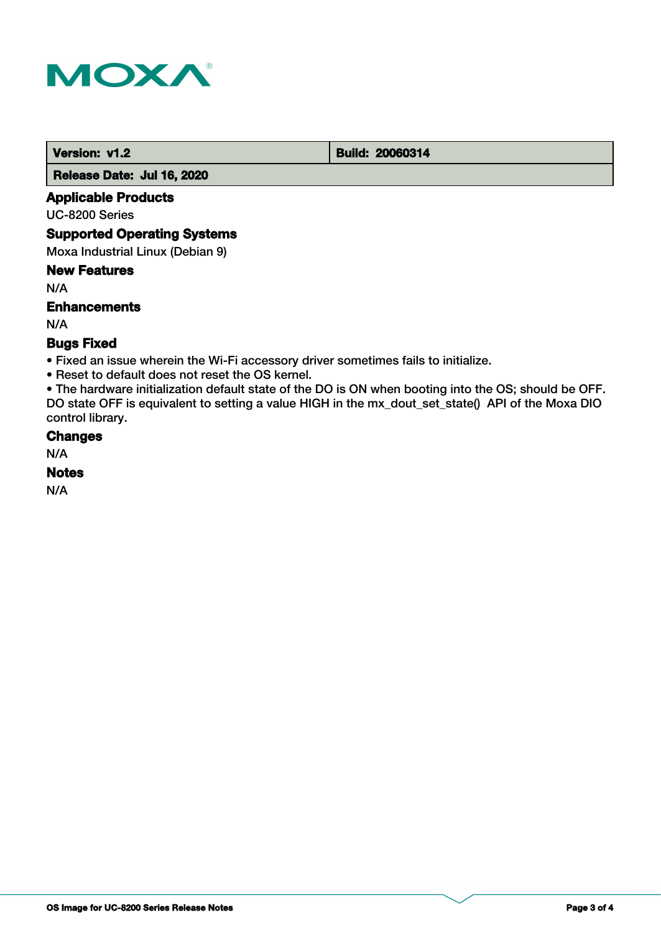

 **Version: v1.2 Build: 20060314** 

 **Release Date: Jul 16, 2020**

## **Applicable Products**

UC-8200 Series

#### **Supported Operating Systems**

Moxa Industrial Linux (Debian 9)

#### **New Features**

N/A

## **Enhancements**

N/A

## **Bugs Fixed**

• Fixed an issue wherein the Wi-Fi accessory driver sometimes fails to initialize.

• Reset to default does not reset the OS kernel.

• The hardware initialization default state of the DO is ON when booting into the OS; should be OFF. DO state OFF is equivalent to setting a value HIGH in the mx\_dout\_set\_state() API of the Moxa DIO control library.

#### **Changes**

N/A

## **Notes**

N/A